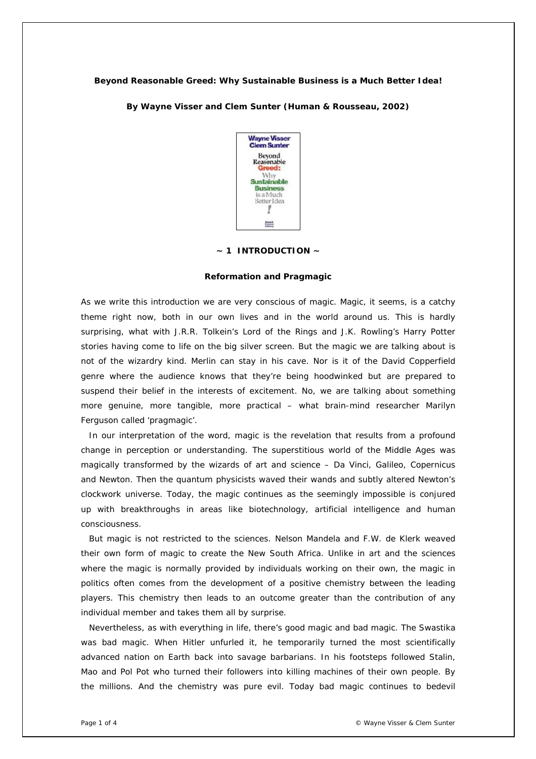## **Beyond Reasonable Greed: Why Sustainable Business is a Much Better Idea!**

*By Wayne Visser and Clem Sunter (Human & Rousseau, 2002)* 



## **~ 1 INTRODUCTION ~**

## **Reformation and Pragmagic**

As we write this introduction we are very conscious of magic. Magic, it seems, is a catchy theme right now, both in our own lives and in the world around us. This is hardly surprising, what with J.R.R. Tolkein's *Lord of the Rings* and J.K. Rowling's *Harry Potter* stories having come to life on the big silver screen. But the magic we are talking about is not of the wizardry kind. Merlin can stay in his cave. Nor is it of the David Copperfield genre where the audience knows that they're being hoodwinked but are prepared to suspend their belief in the interests of excitement. No, we are talking about something more genuine, more tangible, more practical – what brain-mind researcher Marilyn Ferguson called 'pragmagic'.

In our interpretation of the word, magic is the revelation that results from a profound change in perception or understanding. The superstitious world of the Middle Ages was magically transformed by the wizards of art and science – Da Vinci, Galileo, Copernicus and Newton. Then the quantum physicists waved their wands and subtly altered Newton's clockwork universe. Today, the magic continues as the seemingly impossible is conjured up with breakthroughs in areas like biotechnology, artificial intelligence and human consciousness.

But magic is not restricted to the sciences. Nelson Mandela and F.W. de Klerk weaved their own form of magic to create the New South Africa. Unlike in art and the sciences where the magic is normally provided by individuals working on their own, the magic in politics often comes from the development of a positive chemistry between the leading players. This chemistry then leads to an outcome greater than the contribution of any individual member and takes them all by surprise.

Nevertheless, as with everything in life, there's good magic and bad magic. The Swastika was bad magic. When Hitler unfurled it, he temporarily turned the most scientifically advanced nation on Earth back into savage barbarians. In his footsteps followed Stalin, Mao and Pol Pot who turned their followers into killing machines of their own people. By the millions. And the chemistry was pure evil. Today bad magic continues to bedevil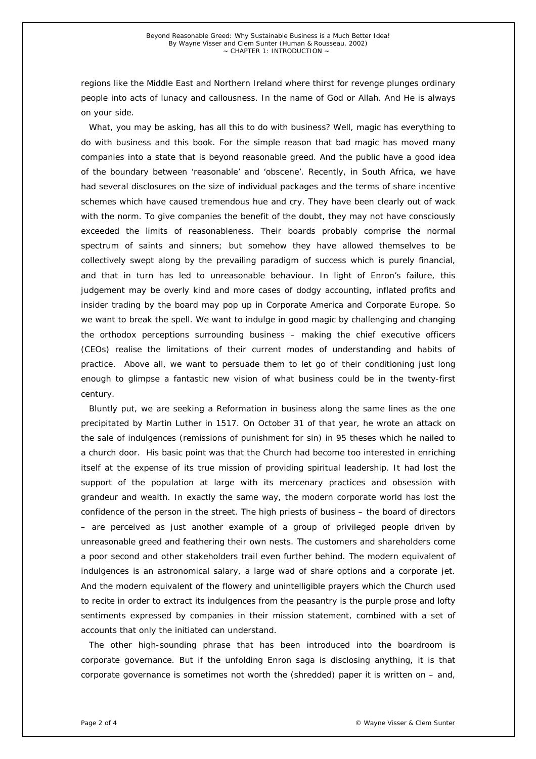regions like the Middle East and Northern Ireland where thirst for revenge plunges ordinary people into acts of lunacy and callousness. In the name of God or Allah. And He is always on *your* side.

What, you may be asking, has all this to do with business? Well, magic has everything to do with business and this book. For the simple reason that bad magic has moved many companies into a state that is beyond reasonable greed. And the public have a good idea of the boundary between 'reasonable' and 'obscene'. Recently, in South Africa, we have had several disclosures on the size of individual packages and the terms of share incentive schemes which have caused tremendous hue and cry. They have been clearly out of wack with the norm. To give companies the benefit of the doubt, they may not have consciously exceeded the limits of reasonableness. Their boards probably comprise the normal spectrum of saints and sinners; but somehow they have allowed themselves to be collectively swept along by the prevailing paradigm of success which is purely financial, and that in turn has led to unreasonable behaviour. In light of Enron's failure, this judgement may be overly kind and more cases of dodgy accounting, inflated profits and insider trading by the board may pop up in Corporate America and Corporate Europe. So we want to break the spell. We want to indulge in good magic by challenging and changing the orthodox perceptions surrounding business – making the chief executive officers (CEOs) realise the limitations of their current modes of understanding and habits of practice. Above all, we want to persuade them to let go of their conditioning just long enough to glimpse a fantastic new vision of what business could be in the twenty-first century.

Bluntly put, we are seeking a Reformation in business along the same lines as the one precipitated by Martin Luther in 1517. On October 31 of that year, he wrote an attack on the sale of indulgences (remissions of punishment for sin) in 95 theses which he nailed to a church door. His basic point was that the Church had become too interested in enriching itself at the expense of its true mission of providing spiritual leadership. It had lost the support of the population at large with its mercenary practices and obsession with grandeur and wealth. In exactly the same way, the modern corporate world has lost the confidence of the person in the street. The high priests of business – the board of directors – are perceived as just another example of a group of privileged people driven by unreasonable greed and feathering their own nests. The customers and shareholders come a poor second and other stakeholders trail even further behind. The modern equivalent of indulgences is an astronomical salary, a large wad of share options and a corporate jet. And the modern equivalent of the flowery and unintelligible prayers which the Church used to recite in order to extract its indulgences from the peasantry is the purple prose and lofty sentiments expressed by companies in their mission statement, combined with a set of accounts that only the initiated can understand.

The other high-sounding phrase that has been introduced into the boardroom is corporate governance. But if the unfolding Enron saga is disclosing anything, it is that corporate governance is sometimes not worth the (shredded) paper it is written on – and,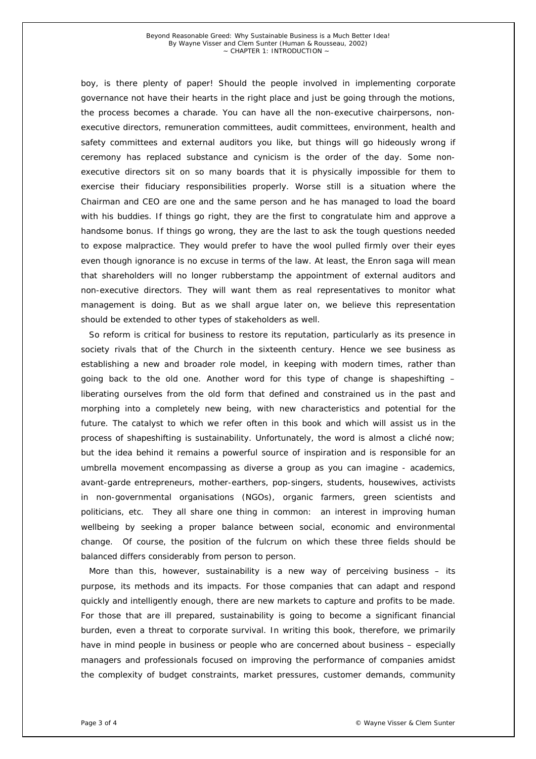boy, is there plenty of paper! Should the people involved in implementing corporate governance not have their hearts in the right place and just be going through the motions, the process becomes a charade. You can have all the non-executive chairpersons, nonexecutive directors, remuneration committees, audit committees, environment, health and safety committees and external auditors you like, but things will go hideously wrong if ceremony has replaced substance and cynicism is the order of the day. Some nonexecutive directors sit on so many boards that it is physically impossible for them to exercise their fiduciary responsibilities properly. Worse still is a situation where the Chairman and CEO are one and the same person and he has managed to load the board with his buddies. If things go right, they are the first to congratulate him and approve a handsome bonus. If things go wrong, they are the last to ask the tough questions needed to expose malpractice. They would prefer to have the wool pulled firmly over their eyes even though ignorance is no excuse in terms of the law. At least, the Enron saga will mean that shareholders will no longer rubberstamp the appointment of external auditors and non-executive directors. They will want them as *real* representatives to monitor what management is doing. But as we shall argue later on, we believe this representation should be extended to other types of stakeholders as well.

So reform is critical for business to restore its reputation, particularly as its presence in society rivals that of the Church in the sixteenth century. Hence we see business as establishing a new and broader role model, in keeping with modern times, rather than going back to the old one. Another word for this type of change is *shapeshifting* – liberating ourselves from the old form that defined and constrained us in the past and morphing into a completely new being, with new characteristics and potential for the future. The catalyst to which we refer often in this book and which will assist us in the process of shapeshifting is *sustainability*. Unfortunately, the word is almost a cliché now; but the idea behind it remains a powerful source of inspiration and is responsible for an umbrella movement encompassing as diverse a group as you can imagine - academics, avant-garde entrepreneurs, mother-earthers, pop-singers, students, housewives, activists in non-governmental organisations (NGOs), organic farmers, green scientists and politicians, etc. They all share one thing in common: an interest in improving human wellbeing by seeking a proper balance between social, economic and environmental change. Of course, the position of the fulcrum on which these three fields should be balanced differs considerably from person to person.

More than this, however, sustainability is a new way of perceiving business – its purpose, its methods and its impacts. For those companies that can adapt and respond quickly and intelligently enough, there are new markets to capture and profits to be made. For those that are ill prepared, sustainability is going to become a significant financial burden, even a threat to corporate survival. In writing this book, therefore, we primarily have in mind people in business or people who are concerned about business – especially managers and professionals focused on improving the performance of companies amidst the complexity of budget constraints, market pressures, customer demands, community